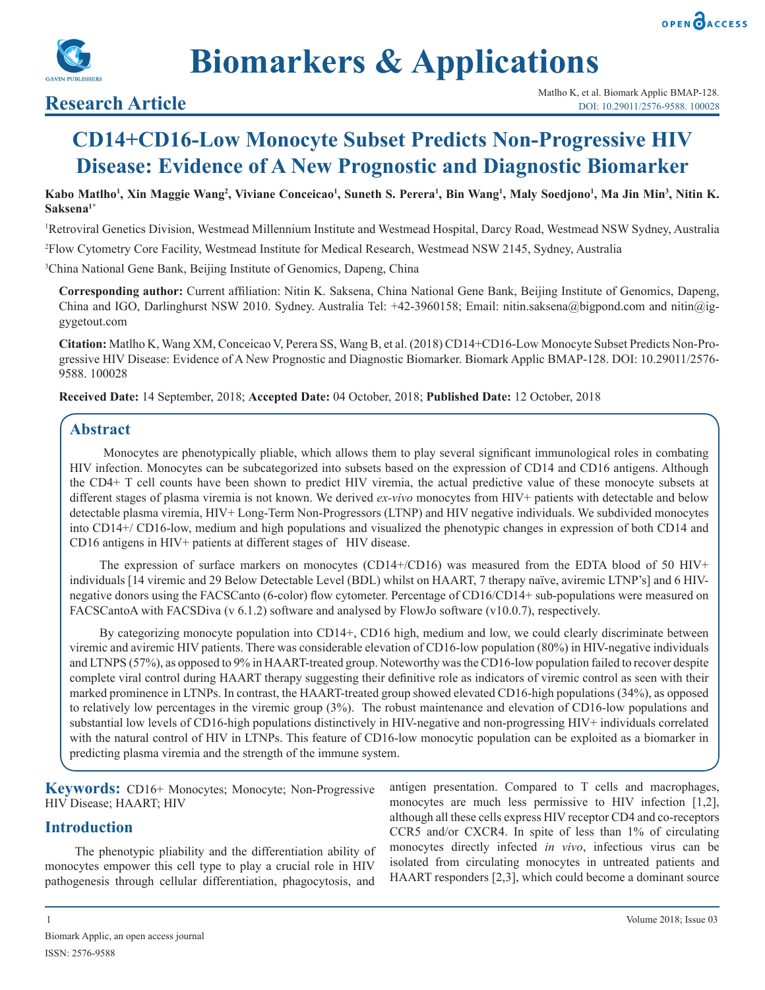



**Biomarkers & Applications**

# **CD14+CD16-Low Monocyte Subset Predicts Non-Progressive HIV Disease: Evidence of A New Prognostic and Diagnostic Biomarker**

Kabo Matlho<sup>1</sup>, Xin Maggie Wang<sup>2</sup>, Viviane Conceicao<sup>1</sup>, Suneth S. Perera<sup>1</sup>, Bin Wang<sup>1</sup>, Maly Soedjono<sup>1</sup>, Ma Jin Min<sup>3</sup>, Nitin K. **Saksena1\***

1 Retroviral Genetics Division, Westmead Millennium Institute and Westmead Hospital, Darcy Road, Westmead NSW Sydney, Australia

2 Flow Cytometry Core Facility, Westmead Institute for Medical Research, Westmead NSW 2145, Sydney, Australia

3 China National Gene Bank, Beijing Institute of Genomics, Dapeng, China

**Corresponding author:** Current affiliation: Nitin K. Saksena, China National Gene Bank, Beijing Institute of Genomics, Dapeng, China and IGO, Darlinghurst NSW 2010. Sydney. Australia Tel: +42-3960158; Email: nitin.saksena@bigpond.com and nitin@iggygetout.com

**Citation:** Matlho K, Wang XM, Conceicao V, Perera SS, Wang B, et al. (2018) CD14+CD16-Low Monocyte Subset Predicts Non-Progressive HIV Disease: Evidence of A New Prognostic and Diagnostic Biomarker. Biomark Applic BMAP-128. DOI: 10.29011/2576- 9588. 100028

**Received Date:** 14 September, 2018; **Accepted Date:** 04 October, 2018; **Published Date:** 12 October, 2018

# **Abstract**

 Monocytes are phenotypically pliable, which allows them to play several significant immunological roles in combating HIV infection. Monocytes can be subcategorized into subsets based on the expression of CD14 and CD16 antigens. Although the CD4+ T cell counts have been shown to predict HIV viremia, the actual predictive value of these monocyte subsets at different stages of plasma viremia is not known. We derived *ex-vivo* monocytes from HIV+ patients with detectable and below detectable plasma viremia, HIV+ Long-Term Non-Progressors (LTNP) and HIV negative individuals. We subdivided monocytes into CD14+/ CD16-low, medium and high populations and visualized the phenotypic changes in expression of both CD14 and CD16 antigens in HIV+ patients at different stages of HIV disease.

The expression of surface markers on monocytes (CD14+/CD16) was measured from the EDTA blood of 50 HIV+ individuals [14 viremic and 29 Below Detectable Level (BDL) whilst on HAART, 7 therapy naïve, aviremic LTNP's] and 6 HIVnegative donors using the FACSCanto (6-color) flow cytometer. Percentage of CD16/CD14+ sub-populations were measured on FACSCantoA with FACSDiva (v 6.1.2) software and analysed by FlowJo software (v10.0.7), respectively.

By categorizing monocyte population into CD14+, CD16 high, medium and low, we could clearly discriminate between viremic and aviremic HIV patients. There was considerable elevation of CD16-low population (80%) in HIV-negative individuals and LTNPS (57%), as opposed to 9% in HAART-treated group. Noteworthy was the CD16-low population failed to recover despite complete viral control during HAART therapy suggesting their definitive role as indicators of viremic control as seen with their marked prominence in LTNPs. In contrast, the HAART-treated group showed elevated CD16-high populations (34%), as opposed to relatively low percentages in the viremic group (3%). The robust maintenance and elevation of CD16-low populations and substantial low levels of CD16-high populations distinctively in HIV-negative and non-progressing HIV+ individuals correlated with the natural control of HIV in LTNPs. This feature of CD16-low monocytic population can be exploited as a biomarker in predicting plasma viremia and the strength of the immune system.

**Keywords:** CD16+ Monocytes; Monocyte; Non-Progressive HIV Disease; HAART; HIV

# **Introduction**

The phenotypic pliability and the differentiation ability of monocytes empower this cell type to play a crucial role in HIV pathogenesis through cellular differentiation, phagocytosis, and

antigen presentation. Compared to T cells and macrophages, monocytes are much less permissive to HIV infection [1,2], although all these cells express HIV receptor CD4 and co-receptors CCR5 and/or CXCR4. In spite of less than 1% of circulating monocytes directly infected *in vivo*, infectious virus can be isolated from circulating monocytes in untreated patients and HAART responders [2,3], which could become a dominant source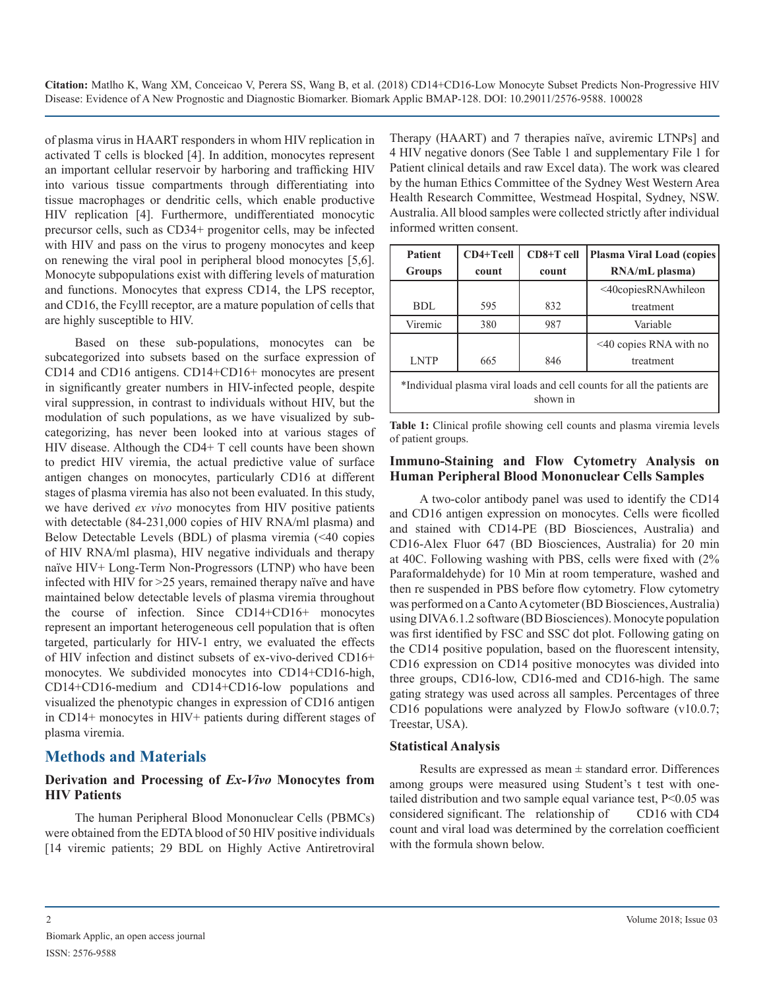of plasma virus in HAART responders in whom HIV replication in activated T cells is blocked [4]. In addition, monocytes represent an important cellular reservoir by harboring and trafficking HIV into various tissue compartments through differentiating into tissue macrophages or dendritic cells, which enable productive HIV replication [4]. Furthermore, undifferentiated monocytic precursor cells, such as CD34+ progenitor cells, may be infected with HIV and pass on the virus to progeny monocytes and keep on renewing the viral pool in peripheral blood monocytes [5,6]. Monocyte subpopulations exist with differing levels of maturation and functions. Monocytes that express CD14, the LPS receptor, and CD16, the Fcylll receptor, are a mature population of cells that are highly susceptible to HIV.

Based on these sub-populations, monocytes can be subcategorized into subsets based on the surface expression of CD14 and CD16 antigens. CD14+CD16+ monocytes are present in significantly greater numbers in HIV-infected people, despite viral suppression, in contrast to individuals without HIV, but the modulation of such populations, as we have visualized by subcategorizing, has never been looked into at various stages of HIV disease. Although the CD4+ T cell counts have been shown to predict HIV viremia, the actual predictive value of surface antigen changes on monocytes, particularly CD16 at different stages of plasma viremia has also not been evaluated. In this study, we have derived *ex vivo* monocytes from HIV positive patients with detectable (84-231,000 copies of HIV RNA/ml plasma) and Below Detectable Levels (BDL) of plasma viremia (<40 copies of HIV RNA/ml plasma), HIV negative individuals and therapy naïve HIV+ Long-Term Non-Progressors (LTNP) who have been infected with HIV for >25 years, remained therapy naïve and have maintained below detectable levels of plasma viremia throughout the course of infection. Since CD14+CD16+ monocytes represent an important heterogeneous cell population that is often targeted, particularly for HIV-1 entry, we evaluated the effects of HIV infection and distinct subsets of ex-vivo-derived CD16+ monocytes. We subdivided monocytes into CD14+CD16-high, CD14+CD16-medium and CD14+CD16-low populations and visualized the phenotypic changes in expression of CD16 antigen in CD14+ monocytes in HIV+ patients during different stages of plasma viremia.

# **Methods and Materials**

#### **Derivation and Processing of** *Ex-Vivo* **Monocytes from HIV Patients**

The human Peripheral Blood Mononuclear Cells (PBMCs) were obtained from the EDTA blood of 50 HIV positive individuals [14 viremic patients; 29 BDL on Highly Active Antiretroviral Therapy (HAART) and 7 therapies naïve, aviremic LTNPs] and 4 HIV negative donors (See Table 1 and supplementary File 1 for Patient clinical details and raw Excel data). The work was cleared by the human Ethics Committee of the Sydney West Western Area Health Research Committee, Westmead Hospital, Sydney, NSW. Australia. All blood samples were collected strictly after individual informed written consent.

| <b>Patient</b>                                                                      | CD4+Tcell | CD8+T cell | <b>Plasma Viral Load (copies)</b> |  |  |  |  |  |
|-------------------------------------------------------------------------------------|-----------|------------|-----------------------------------|--|--|--|--|--|
| <b>Groups</b>                                                                       | count     | count      | RNA/mL plasma)                    |  |  |  |  |  |
|                                                                                     |           |            | <40copiesRNAwhileon               |  |  |  |  |  |
| BDL                                                                                 | 595       | 832        | treatment                         |  |  |  |  |  |
| Viremic                                                                             | 380       | 987        | Variable                          |  |  |  |  |  |
|                                                                                     |           |            | $\leq$ 40 copies RNA with no      |  |  |  |  |  |
| <b>LNTP</b>                                                                         | 665       | 846        | treatment                         |  |  |  |  |  |
| *Individual plasma viral loads and cell counts for all the patients are<br>shown in |           |            |                                   |  |  |  |  |  |

**Table 1:** Clinical profile showing cell counts and plasma viremia levels of patient groups.

### **Immuno-Staining and Flow Cytometry Analysis on Human Peripheral Blood Mononuclear Cells Samples**

A two-color antibody panel was used to identify the CD14 and CD16 antigen expression on monocytes. Cells were ficolled and stained with CD14-PE (BD Biosciences, Australia) and CD16-Alex Fluor 647 (BD Biosciences, Australia) for 20 min at 40C. Following washing with PBS, cells were fixed with (2% Paraformaldehyde) for 10 Min at room temperature, washed and then re suspended in PBS before flow cytometry. Flow cytometry was performed on a Canto A cytometer (BD Biosciences, Australia) using DIVA 6.1.2 software (BD Biosciences). Monocyte population was first identified by FSC and SSC dot plot. Following gating on the CD14 positive population, based on the fluorescent intensity, CD16 expression on CD14 positive monocytes was divided into three groups, CD16-low, CD16-med and CD16-high. The same gating strategy was used across all samples. Percentages of three CD16 populations were analyzed by FlowJo software (v10.0.7; Treestar, USA).

### **Statistical Analysis**

Results are expressed as mean  $\pm$  standard error. Differences among groups were measured using Student's t test with onetailed distribution and two sample equal variance test, P<0.05 was considered significant. The relationship of CD16 with CD4 count and viral load was determined by the correlation coefficient with the formula shown below.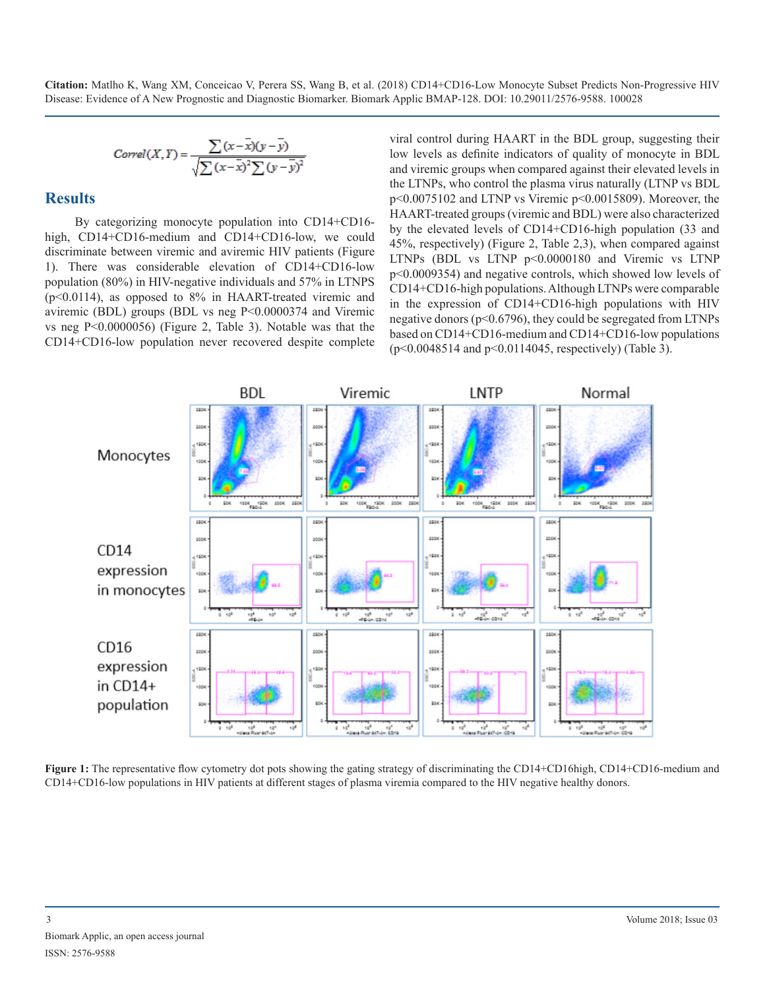$$
Correl(X,Y) = \frac{\sum (x - \overline{x})(y - \overline{y})}{\sqrt{\sum (x - \overline{x})^2 \sum (y - \overline{y})^2}}
$$

#### **Results**

By categorizing monocyte population into CD14+CD16 high, CD14+CD16-medium and CD14+CD16-low, we could discriminate between viremic and aviremic HIV patients (Figure 1). There was considerable elevation of CD14+CD16-low population (80%) in HIV-negative individuals and 57% in LTNPS (p<0.0114), as opposed to 8% in HAART-treated viremic and aviremic (BDL) groups (BDL vs neg P<0.0000374 and Viremic vs neg P<0.0000056) (Figure 2, Table 3). Notable was that the CD14+CD16-low population never recovered despite complete viral control during HAART in the BDL group, suggesting their low levels as definite indicators of quality of monocyte in BDL and viremic groups when compared against their elevated levels in the LTNPs, who control the plasma virus naturally (LTNP vs BDL p<0.0075102 and LTNP vs Viremic p<0.0015809). Moreover, the HAART-treated groups (viremic and BDL) were also characterized by the elevated levels of CD14+CD16-high population (33 and 45%, respectively) (Figure 2, Table 2,3), when compared against LTNPs (BDL vs LTNP p<0.0000180 and Viremic vs LTNP p<0.0009354) and negative controls, which showed low levels of CD14+CD16-high populations. Although LTNPs were comparable in the expression of CD14+CD16-high populations with HIV negative donors (p<0.6796), they could be segregated from LTNPs based on CD14+CD16-medium and CD14+CD16-low populations (p<0.0048514 and p<0.0114045, respectively) (Table 3).



**Figure 1:** The representative flow cytometry dot pots showing the gating strategy of discriminating the CD14+CD16high, CD14+CD16-medium and CD14+CD16-low populations in HIV patients at different stages of plasma viremia compared to the HIV negative healthy donors.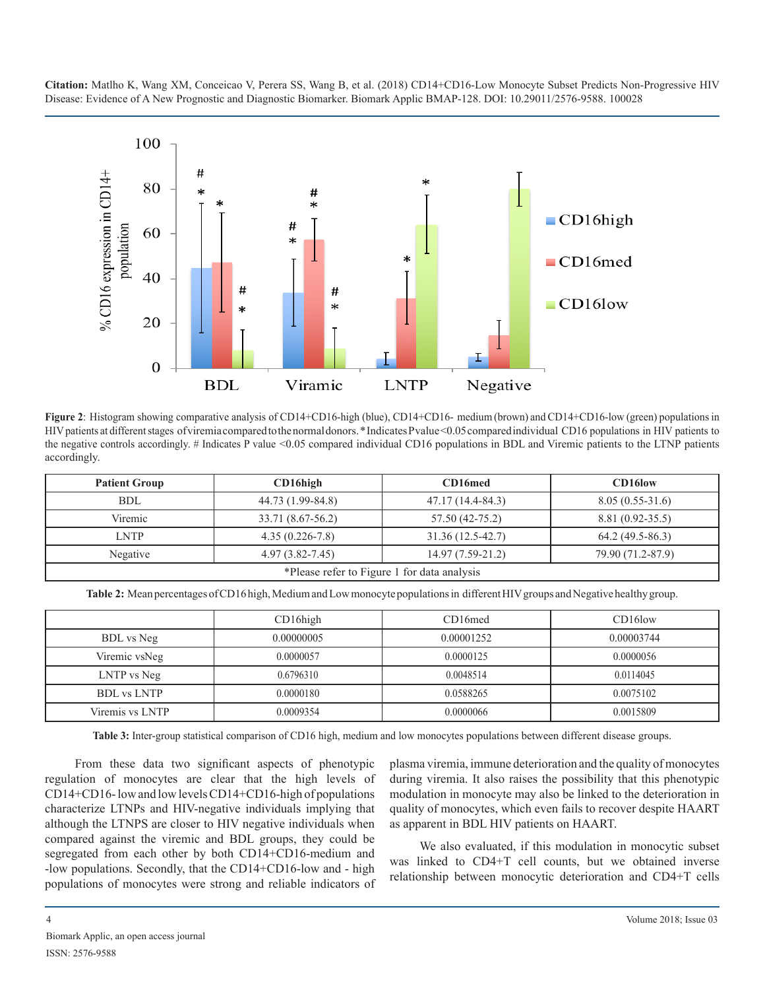

**Figure 2**: Histogram showing comparative analysis of CD14+CD16-high (blue), CD14+CD16- medium (brown) and CD14+CD16-low (green) populations in HIV patients at different stages of viremia compared to the normal donors. \* Indicates P value <0.05 compared individual CD16 populations in HIV patients to the negative controls accordingly. # Indicates P value <0.05 compared individual CD16 populations in BDL and Viremic patients to the LTNP patients accordingly.

| <b>Patient Group</b>                                                       | $CD16$ high         | CD16med           | CD16low           |  |  |  |  |
|----------------------------------------------------------------------------|---------------------|-------------------|-------------------|--|--|--|--|
| BDL                                                                        | 44.73 (1.99-84.8)   | 47.17 (14.4-84.3) | $8.05(0.55-31.6)$ |  |  |  |  |
| Viremic                                                                    | 33.71 (8.67-56.2)   | 57.50 (42-75.2)   | 8.81 (0.92-35.5)  |  |  |  |  |
| <b>LNTP</b>                                                                | $4.35(0.226 - 7.8)$ | 31.36 (12.5-42.7) | $64.2(49.5-86.3)$ |  |  |  |  |
| $4.97(3.82 - 7.45)$<br>$14.97(7.59-21.2)$<br>79.90 (71.2-87.9)<br>Negative |                     |                   |                   |  |  |  |  |
| *Please refer to Figure 1 for data analysis                                |                     |                   |                   |  |  |  |  |

**Table 2:** Mean percentages of CD16 high, Medium and Low monocyte populations in different HIV groups and Negative healthy group.

|                    | $CD16$ high | CD16med    | CD16low    |
|--------------------|-------------|------------|------------|
| BDL vs Neg         | 0.00000005  | 0.00001252 | 0.00003744 |
| Viremic vsNeg      | 0.0000057   | 0.0000125  | 0.0000056  |
| LNTP vs Neg        | 0.6796310   | 0.0048514  | 0.0114045  |
| <b>BDL</b> vs LNTP | 0.0000180   | 0.0588265  | 0.0075102  |
| Viremis vs LNTP    | 0.0009354   | 0.0000066  | 0.0015809  |

**Table 3:** Inter-group statistical comparison of CD16 high, medium and low monocytes populations between different disease groups.

From these data two significant aspects of phenotypic regulation of monocytes are clear that the high levels of CD14+CD16- low and low levels CD14+CD16-high of populations characterize LTNPs and HIV-negative individuals implying that although the LTNPS are closer to HIV negative individuals when compared against the viremic and BDL groups, they could be segregated from each other by both CD14+CD16-medium and -low populations. Secondly, that the CD14+CD16-low and - high populations of monocytes were strong and reliable indicators of

plasma viremia, immune deterioration and the quality of monocytes during viremia. It also raises the possibility that this phenotypic modulation in monocyte may also be linked to the deterioration in quality of monocytes, which even fails to recover despite HAART as apparent in BDL HIV patients on HAART.

We also evaluated, if this modulation in monocytic subset was linked to CD4+T cell counts, but we obtained inverse relationship between monocytic deterioration and CD4+T cells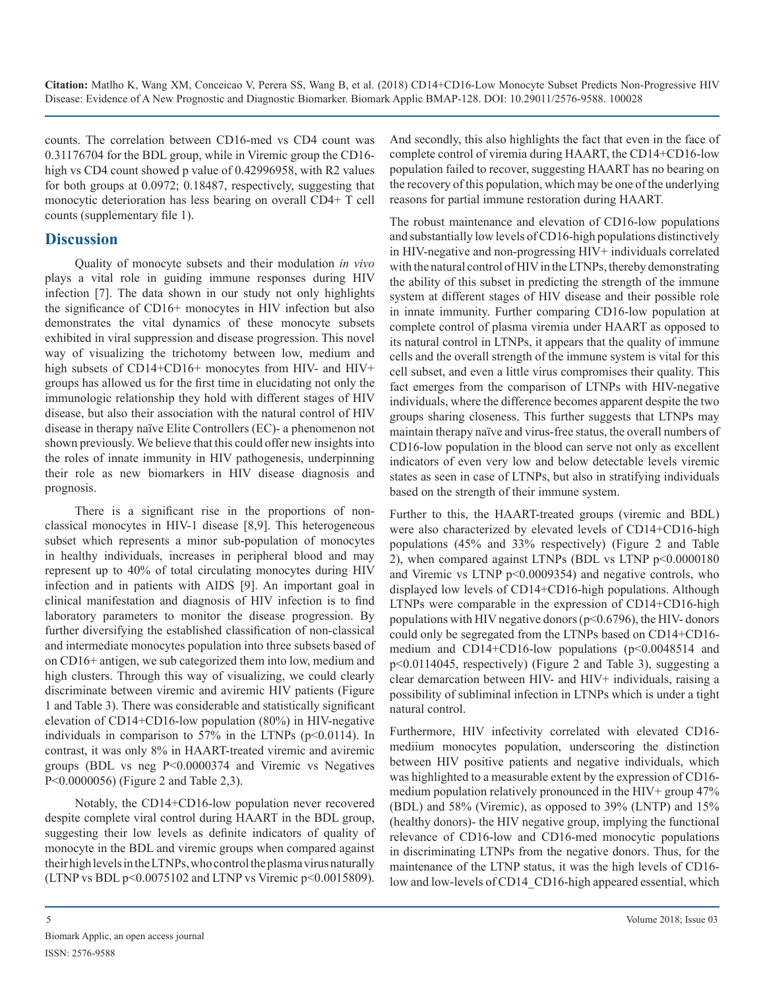counts. The correlation between CD16-med vs CD4 count was 0.31176704 for the BDL group, while in Viremic group the CD16 high vs CD4 count showed p value of 0.42996958, with R2 values for both groups at 0.0972; 0.18487, respectively, suggesting that monocytic deterioration has less bearing on overall CD4+ T cell counts (supplementary file 1).

# **Discussion**

Quality of monocyte subsets and their modulation *in vivo* plays a vital role in guiding immune responses during HIV infection [7]. The data shown in our study not only highlights the significance of CD16+ monocytes in HIV infection but also demonstrates the vital dynamics of these monocyte subsets exhibited in viral suppression and disease progression. This novel way of visualizing the trichotomy between low, medium and high subsets of CD14+CD16+ monocytes from HIV- and HIV+ groups has allowed us for the first time in elucidating not only the immunologic relationship they hold with different stages of HIV disease, but also their association with the natural control of HIV disease in therapy naïve Elite Controllers (EC)- a phenomenon not shown previously. We believe that this could offer new insights into the roles of innate immunity in HIV pathogenesis, underpinning their role as new biomarkers in HIV disease diagnosis and prognosis.

There is a significant rise in the proportions of nonclassical monocytes in HIV-1 disease [8,9]. This heterogeneous subset which represents a minor sub-population of monocytes in healthy individuals, increases in peripheral blood and may represent up to 40% of total circulating monocytes during HIV infection and in patients with AIDS [9]. An important goal in clinical manifestation and diagnosis of HIV infection is to find laboratory parameters to monitor the disease progression. By further diversifying the established classification of non-classical and intermediate monocytes population into three subsets based of on CD16+ antigen, we sub categorized them into low, medium and high clusters. Through this way of visualizing, we could clearly discriminate between viremic and aviremic HIV patients (Figure 1 and Table 3). There was considerable and statistically significant elevation of CD14+CD16-low population (80%) in HIV-negative individuals in comparison to  $57\%$  in the LTNPs ( $p<0.0114$ ). In contrast, it was only 8% in HAART-treated viremic and aviremic groups (BDL vs neg P<0.0000374 and Viremic vs Negatives P<0.0000056) (Figure 2 and Table 2,3).

Notably, the CD14+CD16-low population never recovered despite complete viral control during HAART in the BDL group, suggesting their low levels as definite indicators of quality of monocyte in the BDL and viremic groups when compared against their high levels in the LTNPs, who control the plasma virus naturally (LTNP vs BDL p<0.0075102 and LTNP vs Viremic p<0.0015809).

And secondly, this also highlights the fact that even in the face of complete control of viremia during HAART, the CD14+CD16-low population failed to recover, suggesting HAART has no bearing on the recovery of this population, which may be one of the underlying reasons for partial immune restoration during HAART.

The robust maintenance and elevation of CD16-low populations and substantially low levels of CD16-high populations distinctively in HIV-negative and non-progressing HIV+ individuals correlated with the natural control of HIV in the LTNPs, thereby demonstrating the ability of this subset in predicting the strength of the immune system at different stages of HIV disease and their possible role in innate immunity. Further comparing CD16-low population at complete control of plasma viremia under HAART as opposed to its natural control in LTNPs, it appears that the quality of immune cells and the overall strength of the immune system is vital for this cell subset, and even a little virus compromises their quality. This fact emerges from the comparison of LTNPs with HIV-negative individuals, where the difference becomes apparent despite the two groups sharing closeness. This further suggests that LTNPs may maintain therapy naïve and virus-free status, the overall numbers of CD16-low population in the blood can serve not only as excellent indicators of even very low and below detectable levels viremic states as seen in case of LTNPs, but also in stratifying individuals based on the strength of their immune system.

Further to this, the HAART-treated groups (viremic and BDL) were also characterized by elevated levels of CD14+CD16-high populations (45% and 33% respectively) (Figure 2 and Table 2), when compared against LTNPs (BDL vs LTNP p<0.0000180 and Viremic vs LTNP p<0.0009354) and negative controls, who displayed low levels of CD14+CD16-high populations. Although LTNPs were comparable in the expression of CD14+CD16-high populations with HIV negative donors (p<0.6796), the HIV- donors could only be segregated from the LTNPs based on CD14+CD16 medium and CD14+CD16-low populations (p<0.0048514 and p<0.0114045, respectively) (Figure 2 and Table 3), suggesting a clear demarcation between HIV- and HIV+ individuals, raising a possibility of subliminal infection in LTNPs which is under a tight natural control.

Furthermore, HIV infectivity correlated with elevated CD16 mediium monocytes population, underscoring the distinction between HIV positive patients and negative individuals, which was highlighted to a measurable extent by the expression of CD16 medium population relatively pronounced in the HIV+ group 47% (BDL) and 58% (Viremic), as opposed to 39% (LNTP) and 15% (healthy donors)- the HIV negative group, implying the functional relevance of CD16-low and CD16-med monocytic populations in discriminating LTNPs from the negative donors. Thus, for the maintenance of the LTNP status, it was the high levels of CD16 low and low-levels of CD14 CD16-high appeared essential, which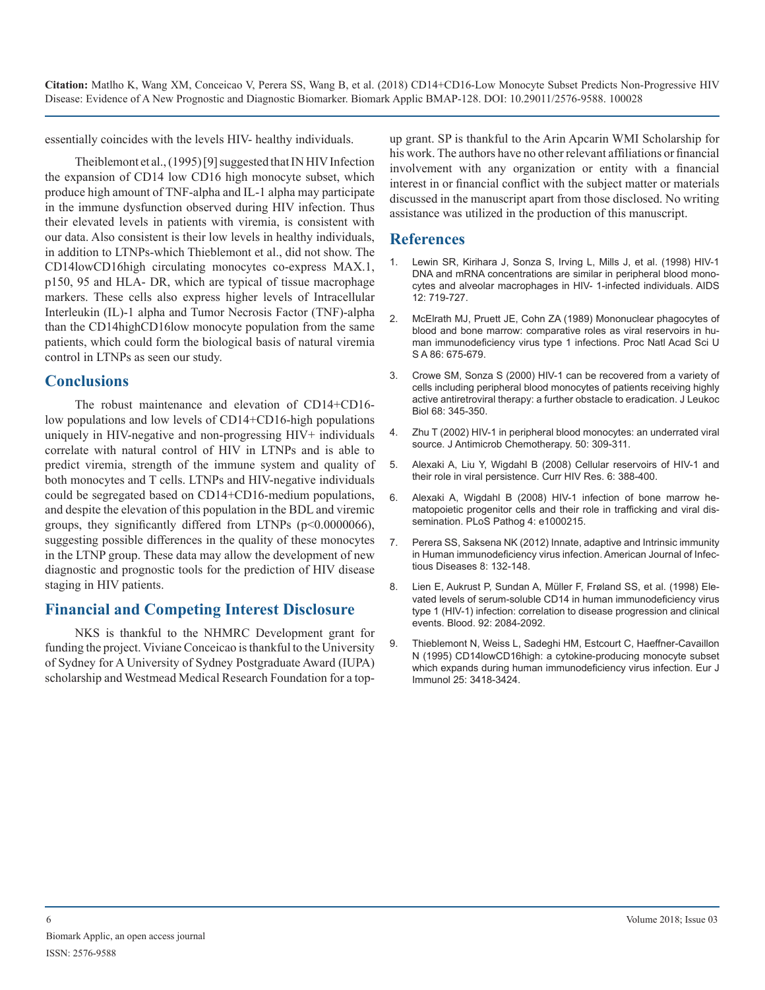essentially coincides with the levels HIV- healthy individuals.

Theiblemont et al., (1995) [9] suggested that IN HIV Infection the expansion of CD14 low CD16 high monocyte subset, which produce high amount of TNF-alpha and IL-1 alpha may participate in the immune dysfunction observed during HIV infection. Thus their elevated levels in patients with viremia, is consistent with our data. Also consistent is their low levels in healthy individuals, in addition to LTNPs-which Thieblemont et al., did not show. The CD14lowCD16high circulating monocytes co-express MAX.1, p150, 95 and HLA- DR, which are typical of tissue macrophage markers. These cells also express higher levels of Intracellular Interleukin (IL)-1 alpha and Tumor Necrosis Factor (TNF)-alpha than the CD14highCD16low monocyte population from the same patients, which could form the biological basis of natural viremia control in LTNPs as seen our study.

### **Conclusions**

The robust maintenance and elevation of CD14+CD16 low populations and low levels of CD14+CD16-high populations uniquely in HIV-negative and non-progressing HIV+ individuals correlate with natural control of HIV in LTNPs and is able to predict viremia, strength of the immune system and quality of both monocytes and T cells. LTNPs and HIV-negative individuals could be segregated based on CD14+CD16-medium populations, and despite the elevation of this population in the BDL and viremic groups, they significantly differed from LTNPs (p<0.0000066), suggesting possible differences in the quality of these monocytes in the LTNP group. These data may allow the development of new diagnostic and prognostic tools for the prediction of HIV disease staging in HIV patients.

# **Financial and Competing Interest Disclosure**

NKS is thankful to the NHMRC Development grant for funding the project. Viviane Conceicao is thankful to the University of Sydney for A University of Sydney Postgraduate Award (IUPA) scholarship and Westmead Medical Research Foundation for a topup grant. SP is thankful to the Arin Apcarin WMI Scholarship for his work. The authors have no other relevant affiliations or financial involvement with any organization or entity with a financial interest in or financial conflict with the subject matter or materials discussed in the manuscript apart from those disclosed. No writing assistance was utilized in the production of this manuscript.

# **References**

- 1. [Lewin SR, Kirihara J, Sonza S, Irving L, Mills J, et al. \(1998\) HIV-1](https://www.ncbi.nlm.nih.gov/pubmed/9619803)  DNA and mRNA concentrations are similar in peripheral blood mono[cytes and alveolar macrophages in HIV- 1-infected individuals. AIDS](https://www.ncbi.nlm.nih.gov/pubmed/9619803) [12: 719-727.](https://www.ncbi.nlm.nih.gov/pubmed/9619803)
- 2. [McElrath MJ, Pruett JE, Cohn ZA \(1989\) Mononuclear phagocytes of](https://www.ncbi.nlm.nih.gov/pubmed/2492110)  blood and bone marrow: comparative roles as viral reservoirs in hu[man immunodeficiency virus type 1 infections. Proc Natl Acad Sci U](https://www.ncbi.nlm.nih.gov/pubmed/2492110)  [S A 86: 675-679.](https://www.ncbi.nlm.nih.gov/pubmed/2492110)
- 3. [Crowe SM, Sonza S \(2000\) HIV-1 can be recovered from a variety of](https://www.ncbi.nlm.nih.gov/pubmed/10985250)  cells including peripheral blood monocytes of patients receiving highly [active antiretroviral therapy: a further obstacle to eradication. J Leukoc](https://www.ncbi.nlm.nih.gov/pubmed/10985250)  [Biol 68: 345-350.](https://www.ncbi.nlm.nih.gov/pubmed/10985250)
- 4. [Zhu T \(2002\) HIV-1 in peripheral blood monocytes: an underrated viral](https://www.ncbi.nlm.nih.gov/pubmed/12205054)  source. J Antimicrob Chemotherapy. 50: 309-311.
- 5. [Alexaki A, Liu Y, Wigdahl B \(2008\) Cellular reservoirs of HIV-1 and](https://www.ncbi.nlm.nih.gov/pubmed/18855649)  their role in viral persistence. Curr HIV Res. 6: 388-400.
- 6. [Alexaki A, Wigdahl B \(2008\) HIV-1 infection of bone marrow he](https://www.ncbi.nlm.nih.gov/pubmed/19112504)matopoietic progenitor cells and their role in trafficking and viral dis[semination. PLoS Pathog 4: e1000215.](https://www.ncbi.nlm.nih.gov/pubmed/19112504)
- 7. [Perera SS, Saksena NK \(2012\) Innate, adaptive and Intrinsic immunity](http://thescipub.com/pdf/10.3844/ajidsp.2012.132.148)  in Human immunodeficiency virus infection. American Journal of Infec[tious Diseases 8: 132-148.](http://thescipub.com/pdf/10.3844/ajidsp.2012.132.148)
- 8. [Lien E, Aukrust P, Sundan A, Müller F, Frøland SS, et al. \(1998\) Ele](https://www.ncbi.nlm.nih.gov/pubmed/9731066)vated levels of serum-soluble CD14 in human immunodeficiency virus [type 1 \(HIV-1\) infection: correlation to disease progression and clinical](https://www.ncbi.nlm.nih.gov/pubmed/9731066)  [events. Blood. 92: 2084-2092.](https://www.ncbi.nlm.nih.gov/pubmed/9731066)
- 9. [Thieblemont N, Weiss L, Sadeghi HM, Estcourt C, Haeffner-Cavaillon](https://www.ncbi.nlm.nih.gov/pubmed/8566032)  N (1995) CD14lowCD16high: a cytokine-producing monocyte subset [which expands during human immunodeficiency virus infection. Eur J](https://www.ncbi.nlm.nih.gov/pubmed/8566032)  [Immunol 25: 3418-3424.](https://www.ncbi.nlm.nih.gov/pubmed/8566032)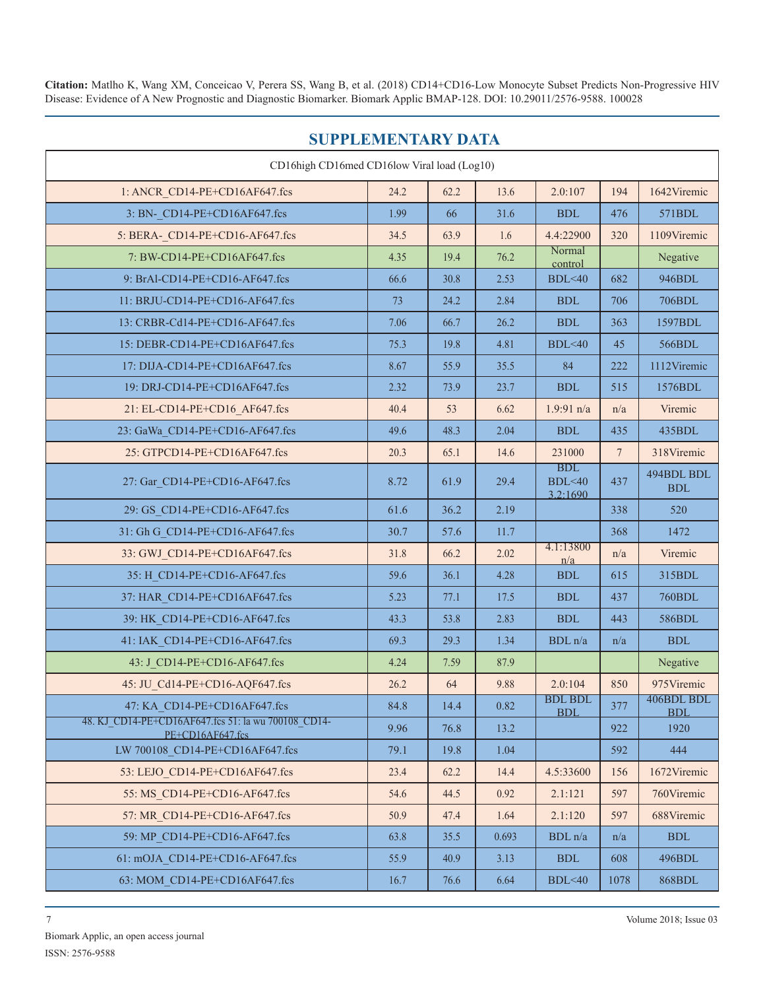| <b>SUPPLEMENTARY DATA</b>                                               |      |      |       |                                  |                  |                                    |  |  |  |
|-------------------------------------------------------------------------|------|------|-------|----------------------------------|------------------|------------------------------------|--|--|--|
| CD16high CD16med CD16low Viral load (Log10)                             |      |      |       |                                  |                  |                                    |  |  |  |
| 1: ANCR CD14-PE+CD16AF647.fcs                                           | 24.2 | 62.2 | 13.6  | 2.0:107                          | 194              | 1642Viremic                        |  |  |  |
| 3: BN- CD14-PE+CD16AF647.fcs                                            | 1.99 | 66   | 31.6  | <b>BDL</b>                       | 476              | 571BDL                             |  |  |  |
| 5: BERA- CD14-PE+CD16-AF647.fcs                                         | 34.5 | 63.9 | 1.6   | 4.4:22900                        | 320              | 1109Viremic                        |  |  |  |
| 7: BW-CD14-PE+CD16AF647.fcs                                             | 4.35 | 19.4 | 76.2  | Normal<br>control                |                  | Negative                           |  |  |  |
| 9: BrAl-CD14-PE+CD16-AF647.fcs                                          | 66.6 | 30.8 | 2.53  | <b>BDL</b> <40                   | 682              | 946BDL                             |  |  |  |
| 11: BRJU-CD14-PE+CD16-AF647.fcs                                         | 73   | 24.2 | 2.84  | <b>BDL</b>                       | 706              | 706BDL                             |  |  |  |
| 13: CRBR-Cd14-PE+CD16-AF647.fcs                                         | 7.06 | 66.7 | 26.2  | <b>BDL</b>                       | 363              | 1597BDL                            |  |  |  |
| 15: DEBR-CD14-PE+CD16AF647.fcs                                          | 75.3 | 19.8 | 4.81  | BDL<40                           | 45               | 566BDL                             |  |  |  |
| 17: DIJA-CD14-PE+CD16AF647.fcs                                          | 8.67 | 55.9 | 35.5  | 84                               | 222              | 1112Viremic                        |  |  |  |
| 19: DRJ-CD14-PE+CD16AF647.fcs                                           | 2.32 | 73.9 | 23.7  | <b>BDL</b>                       | 515              | 1576BDL                            |  |  |  |
| 21: EL-CD14-PE+CD16_AF647.fcs                                           | 40.4 | 53   | 6.62  | $1.9:91$ n/a                     | n/a              | Viremic                            |  |  |  |
| 23: GaWa CD14-PE+CD16-AF647.fcs                                         | 49.6 | 48.3 | 2.04  | $\operatorname{BDL}$             | 435              | 435BDL                             |  |  |  |
| 25: GTPCD14-PE+CD16AF647.fcs                                            | 20.3 | 65.1 | 14.6  | 231000                           | $\boldsymbol{7}$ | 318Viremic                         |  |  |  |
| 27: Gar CD14-PE+CD16-AF647.fcs                                          | 8.72 | 61.9 | 29.4  | <b>BDL</b><br>BDL<40<br>3.2:1690 | 437              | 494BDL BDL<br>$\operatorname{BDL}$ |  |  |  |
| 29: GS CD14-PE+CD16-AF647.fcs                                           | 61.6 | 36.2 | 2.19  |                                  | 338              | 520                                |  |  |  |
| 31: Gh G CD14-PE+CD16-AF647.fcs                                         | 30.7 | 57.6 | 11.7  |                                  | 368              | 1472                               |  |  |  |
| 33: GWJ CD14-PE+CD16AF647.fcs                                           | 31.8 | 66.2 | 2.02  | 4.1:13800<br>n/a                 | n/a              | Viremic                            |  |  |  |
| 35: H CD14-PE+CD16-AF647.fcs                                            | 59.6 | 36.1 | 4.28  | <b>BDL</b>                       | 615              | 315BDL                             |  |  |  |
| 37: HAR CD14-PE+CD16AF647.fcs                                           | 5.23 | 77.1 | 17.5  | <b>BDL</b>                       | 437              | <b>760BDL</b>                      |  |  |  |
| 39: HK CD14-PE+CD16-AF647.fcs                                           | 43.3 | 53.8 | 2.83  | <b>BDL</b>                       | 443              | 586BDL                             |  |  |  |
| 41: IAK CD14-PE+CD16-AF647.fcs                                          | 69.3 | 29.3 | 1.34  | BDL n/a                          | n/a              | $\operatorname{BDL}$               |  |  |  |
| 43: J CD14-PE+CD16-AF647.fcs                                            | 4.24 | 7.59 | 87.9  |                                  |                  | Negative                           |  |  |  |
| 45: JU Cd14-PE+CD16-AQF647.fcs                                          | 26.2 | 64   | 9.88  | 2.0:104                          | 850              | 975Viremic                         |  |  |  |
| 47: KA CD14-PE+CD16AF647.fcs                                            | 84.8 | 14.4 | 0.82  | <b>BDL BDL</b><br><b>BDL</b>     | 377              | 406BDL BDL<br><b>BDL</b>           |  |  |  |
| 48. KJ CD14-PE+CD16AF647.fcs 51: la wu 700108 CD14-<br>PE+CD16AF647.fcs | 9.96 | 76.8 | 13.2  |                                  | 922              | 1920                               |  |  |  |
| LW 700108 CD14-PE+CD16AF647.fcs                                         | 79.1 | 19.8 | 1.04  |                                  | 592              | 444                                |  |  |  |
| 53: LEJO CD14-PE+CD16AF647.fcs                                          | 23.4 | 62.2 | 14.4  | 4.5:33600                        | 156              | 1672Viremic                        |  |  |  |
| 55: MS CD14-PE+CD16-AF647.fcs                                           | 54.6 | 44.5 | 0.92  | 2.1:121                          | 597              | 760Viremic                         |  |  |  |
| 57: MR CD14-PE+CD16-AF647.fcs                                           | 50.9 | 47.4 | 1.64  | 2.1:120                          | 597              | 688Viremic                         |  |  |  |
| 59: MP CD14-PE+CD16-AF647.fcs                                           | 63.8 | 35.5 | 0.693 | BDL n/a                          | n/a              | <b>BDL</b>                         |  |  |  |
|                                                                         |      |      |       |                                  |                  |                                    |  |  |  |

61: mOJA\_CD14-PE+CD16-AF647.fcs 1 55.9 40.9 3.13 BDL 608 496BDL 63: MOM\_CD14-PE+CD16AF647.fcs 16.7 76.6 6.64 BDL<40 1078 868BDL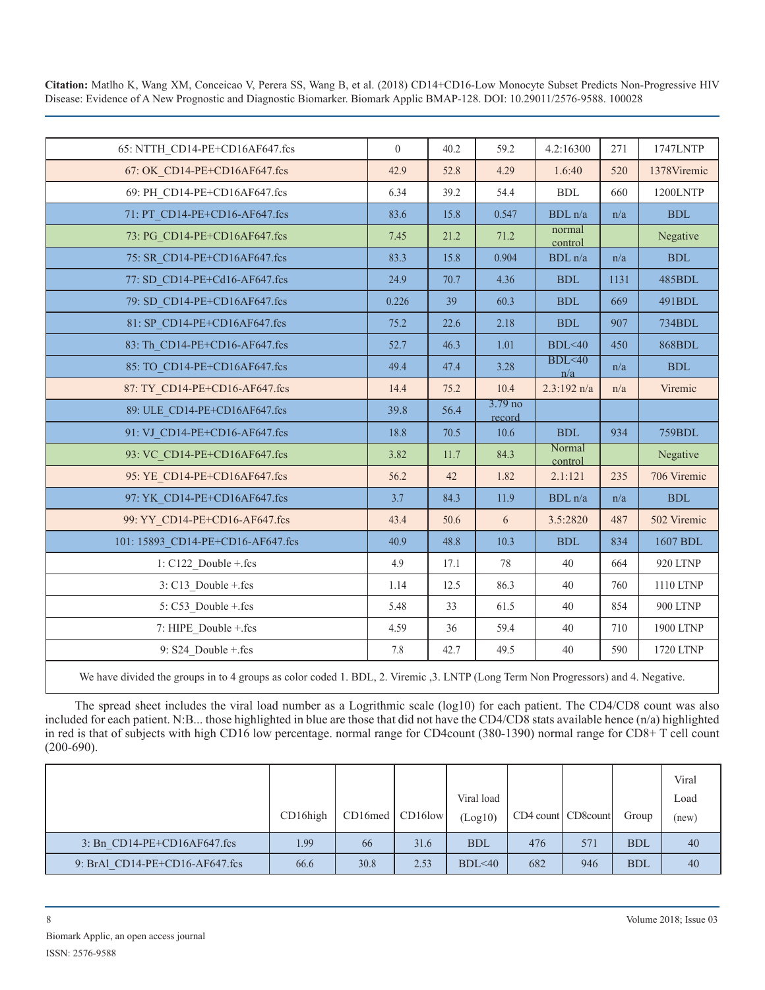| 65: NTTH CD14-PE+CD16AF647.fcs    | $\theta$ | 40.2 | 59.2                         | 4.2:16300         | 271  | 1747LNTP        |
|-----------------------------------|----------|------|------------------------------|-------------------|------|-----------------|
| 67: OK CD14-PE+CD16AF647.fcs      | 42.9     | 52.8 | 4.29                         | 1.6:40            | 520  | 1378Viremic     |
| 69: PH CD14-PE+CD16AF647.fcs      | 6.34     | 39.2 | 54.4                         | ${\rm BDL}$       | 660  | <b>1200LNTP</b> |
| 71: PT CD14-PE+CD16-AF647.fcs     | 83.6     | 15.8 | 0.547                        | BDL n/a           | n/a  | <b>BDL</b>      |
| 73: PG CD14-PE+CD16AF647.fcs      | 7.45     | 21.2 | 71.2                         | normal<br>control |      | Negative        |
| 75: SR CD14-PE+CD16AF647.fcs      | 83.3     | 15.8 | 0.904                        | BDL n/a           | n/a  | <b>BDL</b>      |
| 77: SD CD14-PE+Cd16-AF647.fcs     | 24.9     | 70.7 | 4.36                         | <b>BDL</b>        | 1131 | <b>485BDL</b>   |
| 79: SD CD14-PE+CD16AF647.fcs      | 0.226    | 39   | 60.3                         | <b>BDL</b>        | 669  | 491BDL          |
| 81: SP CD14-PE+CD16AF647.fcs      | 75.2     | 22.6 | 2.18                         | <b>BDL</b>        | 907  | 734BDL          |
| 83: Th CD14-PE+CD16-AF647.fcs     | 52.7     | 46.3 | 1.01                         | BDL<40            | 450  | 868BDL          |
| 85: TO CD14-PE+CD16AF647.fcs      | 49.4     | 47.4 | 3.28                         | BDL < 40<br>n/a   | n/a  | <b>BDL</b>      |
| 87: TY CD14-PE+CD16-AF647.fcs     | 14.4     | 75.2 | 10.4                         | $2.3:192$ n/a     | n/a  | Viremic         |
| 89: ULE CD14-PE+CD16AF647.fcs     | 39.8     | 56.4 | 3.79 <sub>no</sub><br>record |                   |      |                 |
| 91: VJ CD14-PE+CD16-AF647.fcs     | 18.8     | 70.5 | 10.6                         | <b>BDL</b>        | 934  | <b>759BDL</b>   |
| 93: VC CD14-PE+CD16AF647.fcs      | 3.82     | 11.7 | 84.3                         | Normal<br>control |      | Negative        |
| 95: YE CD14-PE+CD16AF647.fcs      | 56.2     | 42   | 1.82                         | 2.1:121           | 235  | 706 Viremic     |
| 97: YK CD14-PE+CD16AF647.fcs      | 3.7      | 84.3 | 11.9                         | BDL n/a           | n/a  | <b>BDL</b>      |
| 99: YY CD14-PE+CD16-AF647.fcs     | 43.4     | 50.6 | 6                            | 3.5:2820          | 487  | 502 Viremic     |
| 101: 15893 CD14-PE+CD16-AF647.fcs | 40.9     | 48.8 | 10.3                         | <b>BDL</b>        | 834  | 1607 BDL        |
| $1: C122$ Double + fcs            | 4.9      | 17.1 | 78                           | 40                | 664  | 920 LTNP        |
| 3: C13 Double + fcs               | 1.14     | 12.5 | 86.3                         | 40                | 760  | 1110 LTNP       |
| 5: C53_Double +.fcs               | 5.48     | 33   | 61.5                         | 40                | 854  | <b>900 LTNP</b> |
| 7: HIPE Double + fcs              | 4.59     | 36   | 59.4                         | 40                | 710  | 1900 LTNP       |
| 9: S24_Double +.fcs               | 7.8      | 42.7 | 49.5                         | 40                | 590  | 1720 LTNP       |
|                                   |          |      |                              |                   |      |                 |

We have divided the groups in to 4 groups as color coded 1. BDL, 2. Viremic , 3. LNTP (Long Term Non Progressors) and 4. Negative.

The spread sheet includes the viral load number as a Logrithmic scale (log10) for each patient. The CD4/CD8 count was also included for each patient. N:B... those highlighted in blue are those that did not have the CD4/CD8 stats available hence (n/a) highlighted in red is that of subjects with high CD16 low percentage. normal range for CD4count (380-1390) normal range for CD8+ T cell count (200-690).

|                                | $CD16$ high | CD16med   CD16low |      | Viral load<br>(Log10) | CD4 count CD8 count |     | Group      | Viral<br>Load<br>(new) |
|--------------------------------|-------------|-------------------|------|-----------------------|---------------------|-----|------------|------------------------|
| $3:$ Bn CD14-PE+CD16AF647.fcs  | 1.99        | 66                | 31.6 | <b>BDL</b>            | 476                 | 571 | <b>BDL</b> | 40                     |
| 9: BrAl CD14-PE+CD16-AF647.fcs | 66.6        | 30.8              | 2.53 | BDL<40                | 682                 | 946 | <b>BDL</b> | 40                     |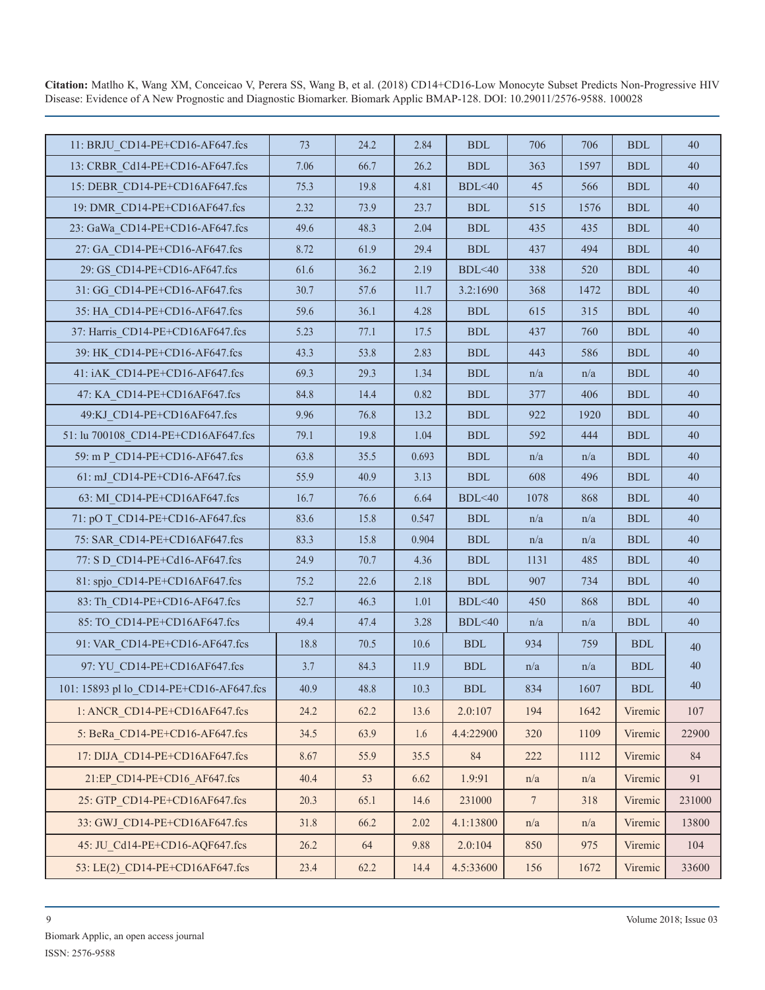| 11: BRJU CD14-PE+CD16-AF647.fcs         | 73   | 24.2 | 2.84  | $\operatorname{BDL}$ | 706             | 706  | <b>BDL</b>           | 40     |
|-----------------------------------------|------|------|-------|----------------------|-----------------|------|----------------------|--------|
| 13: CRBR Cd14-PE+CD16-AF647.fcs         | 7.06 | 66.7 | 26.2  | <b>BDL</b>           | 363             | 1597 | <b>BDL</b>           | 40     |
| 15: DEBR CD14-PE+CD16AF647.fcs          | 75.3 | 19.8 | 4.81  | BDL<40               | 45              | 566  | <b>BDL</b>           | 40     |
| 19: DMR CD14-PE+CD16AF647.fcs           | 2.32 | 73.9 | 23.7  | <b>BDL</b>           | 515             | 1576 | <b>BDL</b>           | 40     |
| 23: GaWa CD14-PE+CD16-AF647.fcs         | 49.6 | 48.3 | 2.04  | <b>BDL</b>           | 435             | 435  | <b>BDL</b>           | $40\,$ |
| 27: GA_CD14-PE+CD16-AF647.fcs           | 8.72 | 61.9 | 29.4  | <b>BDL</b>           | 437             | 494  | <b>BDL</b>           | 40     |
| 29: GS CD14-PE+CD16-AF647.fcs           | 61.6 | 36.2 | 2.19  | BDL<40               | 338             | 520  | <b>BDL</b>           | $40\,$ |
| 31: GG CD14-PE+CD16-AF647.fcs           | 30.7 | 57.6 | 11.7  | 3.2:1690             | 368             | 1472 | <b>BDL</b>           | 40     |
| 35: HA_CD14-PE+CD16-AF647.fcs           | 59.6 | 36.1 | 4.28  | <b>BDL</b>           | 615             | 315  | <b>BDL</b>           | $40\,$ |
| 37: Harris CD14-PE+CD16AF647.fcs        | 5.23 | 77.1 | 17.5  | <b>BDL</b>           | 437             | 760  | <b>BDL</b>           | 40     |
| 39: HK CD14-PE+CD16-AF647.fcs           | 43.3 | 53.8 | 2.83  | <b>BDL</b>           | 443             | 586  | <b>BDL</b>           | $40\,$ |
| 41: iAK CD14-PE+CD16-AF647.fcs          | 69.3 | 29.3 | 1.34  | $\operatorname{BDL}$ | n/a             | n/a  | <b>BDL</b>           | 40     |
| 47: KA CD14-PE+CD16AF647.fcs            | 84.8 | 14.4 | 0.82  | $\operatorname{BDL}$ | 377             | 406  | <b>BDL</b>           | $40\,$ |
| 49:KJ CD14-PE+CD16AF647.fcs             | 9.96 | 76.8 | 13.2  | $\operatorname{BDL}$ | 922             | 1920 | <b>BDL</b>           | 40     |
| 51: lu 700108 CD14-PE+CD16AF647.fcs     | 79.1 | 19.8 | 1.04  | <b>BDL</b>           | 592             | 444  | <b>BDL</b>           | 40     |
| 59: m P CD14-PE+CD16-AF647.fcs          | 63.8 | 35.5 | 0.693 | <b>BDL</b>           | n/a             | n/a  | <b>BDL</b>           | 40     |
| 61: mJ_CD14-PE+CD16-AF647.fcs           | 55.9 | 40.9 | 3.13  | $\operatorname{BDL}$ | 608             | 496  | <b>BDL</b>           | $40\,$ |
| 63: MI CD14-PE+CD16AF647.fcs            | 16.7 | 76.6 | 6.64  | BDL<40               | 1078            | 868  | <b>BDL</b>           | $40\,$ |
| 71: pO T CD14-PE+CD16-AF647.fcs         | 83.6 | 15.8 | 0.547 | <b>BDL</b>           | n/a             | n/a  | <b>BDL</b>           | 40     |
| 75: SAR CD14-PE+CD16AF647.fcs           | 83.3 | 15.8 | 0.904 | <b>BDL</b>           | n/a             | n/a  | <b>BDL</b>           | 40     |
| 77: S D CD14-PE+Cd16-AF647.fcs          | 24.9 | 70.7 | 4.36  | $\operatorname{BDL}$ | 1131            | 485  | <b>BDL</b>           | 40     |
| 81: spjo_CD14-PE+CD16AF647.fcs          | 75.2 | 22.6 | 2.18  | <b>BDL</b>           | 907             | 734  | <b>BDL</b>           | $40\,$ |
| 83: Th CD14-PE+CD16-AF647.fcs           | 52.7 | 46.3 | 1.01  | BDL<40               | 450             | 868  | <b>BDL</b>           | 40     |
| 85: TO_CD14-PE+CD16AF647.fcs            | 49.4 | 47.4 | 3.28  | BDL<40               | n/a             | n/a  | <b>BDL</b>           | $40\,$ |
| 91: VAR_CD14-PE+CD16-AF647.fcs          | 18.8 | 70.5 | 10.6  | $\operatorname{BDL}$ | 934             | 759  | <b>BDL</b>           | 40     |
| 97: YU CD14-PE+CD16AF647.fcs            | 3.7  | 84.3 | 11.9  | $\operatorname{BDL}$ | n/a             | n/a  | $\operatorname{BDL}$ | $40\,$ |
| 101: 15893 pl lo_CD14-PE+CD16-AF647.fcs | 40.9 | 48.8 | 10.3  | $\operatorname{BDL}$ | 834             | 1607 | $\operatorname{BDL}$ | 40     |
| 1: ANCR CD14-PE+CD16AF647.fcs           | 24.2 | 62.2 | 13.6  | 2.0:107              | 194             | 1642 | Viremic              | 107    |
| 5: BeRa CD14-PE+CD16-AF647.fcs          | 34.5 | 63.9 | 1.6   | 4.4:22900            | 320             | 1109 | Viremic              | 22900  |
| 17: DIJA CD14-PE+CD16AF647.fcs          | 8.67 | 55.9 | 35.5  | $\rm 84$             | 222             | 1112 | Viremic              | 84     |
| 21:EP CD14-PE+CD16 AF647.fcs            | 40.4 | 53   | 6.62  | 1.9:91               | n/a             | n/a  | Viremic              | 91     |
| 25: GTP CD14-PE+CD16AF647.fcs           | 20.3 | 65.1 | 14.6  | 231000               | $7\phantom{.0}$ | 318  | Viremic              | 231000 |
| 33: GWJ CD14-PE+CD16AF647.fcs           | 31.8 | 66.2 | 2.02  | 4.1:13800            | n/a             | n/a  | Viremic              | 13800  |
| 45: JU Cd14-PE+CD16-AQF647.fcs          | 26.2 | 64   | 9.88  | 2.0:104              | 850             | 975  | Viremic              | 104    |
| 53: LE(2) CD14-PE+CD16AF647.fcs         | 23.4 | 62.2 | 14.4  | 4.5:33600            | 156             | 1672 | Viremic              | 33600  |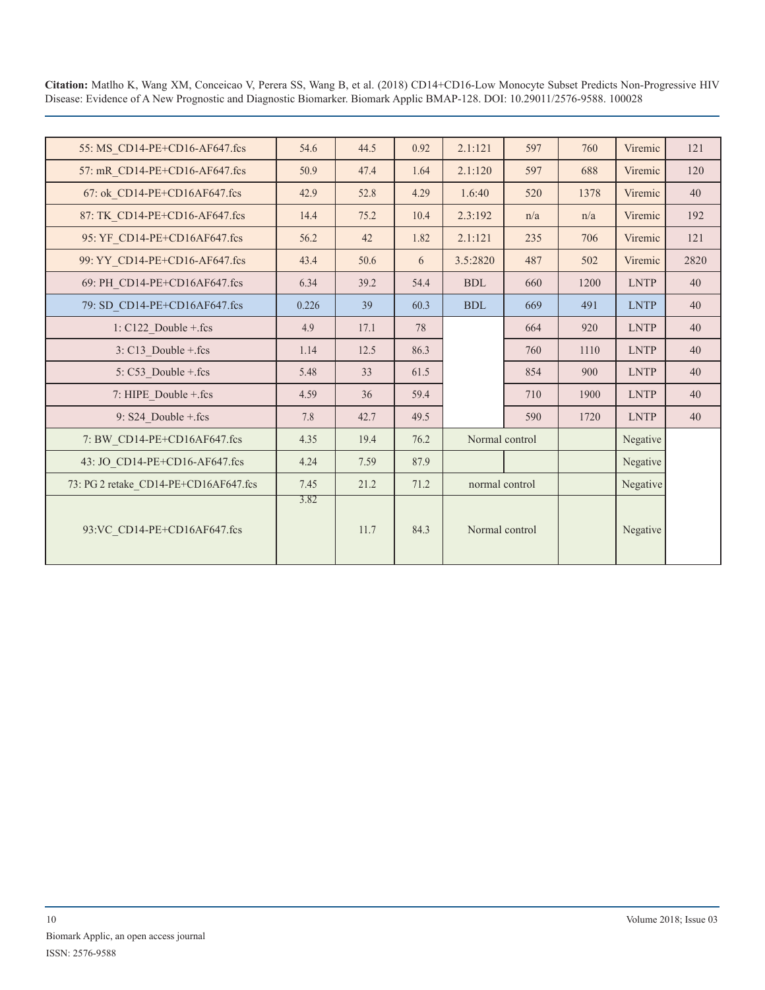| 55: MS_CD14-PE+CD16-AF647.fcs         | 54.6  | 44.5 | 0.92 | 2.1:121        | 597 | 760  | Viremic     | 121  |
|---------------------------------------|-------|------|------|----------------|-----|------|-------------|------|
| 57: mR CD14-PE+CD16-AF647.fcs         | 50.9  | 47.4 | 1.64 | 2.1:120        | 597 | 688  | Viremic     | 120  |
| 67: ok_CD14-PE+CD16AF647.fcs          | 42.9  | 52.8 | 4.29 | 1.6:40         | 520 | 1378 | Viremic     | 40   |
| 87: TK CD14-PE+CD16-AF647.fcs         | 14.4  | 75.2 | 10.4 | 2.3:192        | n/a | n/a  | Viremic     | 192  |
| 95: YF CD14-PE+CD16AF647.fcs          | 56.2  | 42   | 1.82 | 2.1:121        | 235 | 706  | Viremic     | 121  |
| 99: YY_CD14-PE+CD16-AF647.fcs         | 43.4  | 50.6 | 6    | 3.5:2820       | 487 | 502  | Viremic     | 2820 |
| 69: PH CD14-PE+CD16AF647.fcs          | 6.34  | 39.2 | 54.4 | <b>BDL</b>     | 660 | 1200 | <b>LNTP</b> | 40   |
| 79: SD_CD14-PE+CD16AF647.fcs          | 0.226 | 39   | 60.3 | <b>BDL</b>     | 669 | 491  | <b>LNTP</b> | 40   |
| $1: C122_Double + fcs$                | 4.9   | 17.1 | 78   |                | 664 | 920  | <b>LNTP</b> | 40   |
| $3: C13$ Double + fcs                 | 1.14  | 12.5 | 86.3 |                | 760 | 1110 | <b>LNTP</b> | 40   |
| 5: C53 Double + fcs                   | 5.48  | 33   | 61.5 |                | 854 | 900  | <b>LNTP</b> | 40   |
| 7: HIPE_Double + fcs                  | 4.59  | 36   | 59.4 |                | 710 | 1900 | <b>LNTP</b> | 40   |
| 9: S24 Double + fcs                   | 7.8   | 42.7 | 49.5 |                | 590 | 1720 | <b>LNTP</b> | 40   |
| 7: BW_CD14-PE+CD16AF647.fcs           | 4.35  | 19.4 | 76.2 | Normal control |     |      | Negative    |      |
| 43: JO_CD14-PE+CD16-AF647.fcs         | 4.24  | 7.59 | 87.9 |                |     |      | Negative    |      |
| 73: PG 2 retake_CD14-PE+CD16AF647.fcs | 7.45  | 21.2 | 71.2 | normal control |     |      | Negative    |      |
| 93:VC CD14-PE+CD16AF647.fcs           | 3.82  | 11.7 | 84.3 | Normal control |     |      | Negative    |      |